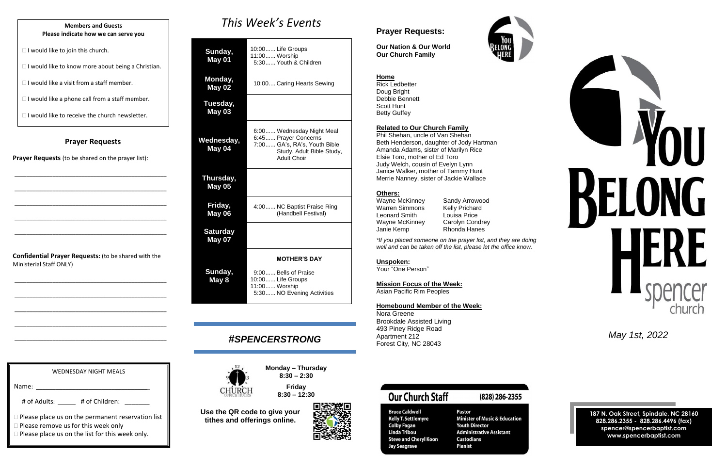### **Prayer Requests**

**Prayer Requests** (to be shared on the prayer list):

\_\_\_\_\_\_\_\_\_\_\_\_\_\_\_\_\_\_\_\_\_\_\_\_\_\_\_\_\_\_\_\_\_\_\_\_\_\_\_\_\_\_\_\_\_\_\_\_\_\_\_\_

\_\_\_\_\_\_\_\_\_\_\_\_\_\_\_\_\_\_\_\_\_\_\_\_\_\_\_\_\_\_\_\_\_\_\_\_\_\_\_\_\_\_\_\_\_\_\_\_\_\_\_\_

\_\_\_\_\_\_\_\_\_\_\_\_\_\_\_\_\_\_\_\_\_\_\_\_\_\_\_\_\_\_\_\_\_\_\_\_\_\_\_\_\_\_\_\_\_\_\_\_\_\_\_\_

\_\_\_\_\_\_\_\_\_\_\_\_\_\_\_\_\_\_\_\_\_\_\_\_\_\_\_\_\_\_\_\_\_\_\_\_\_\_\_\_\_\_\_\_\_\_\_\_\_\_\_\_

\_\_\_\_\_\_\_\_\_\_\_\_\_\_\_\_\_\_\_\_\_\_\_\_\_\_\_\_\_\_\_\_\_\_\_\_\_\_\_\_\_\_\_\_\_\_\_\_\_\_\_\_

**Confidential Prayer Requests:** (to be shared with the Ministerial Staff ONLY)

\_\_\_\_\_\_\_\_\_\_\_\_\_\_\_\_\_\_\_\_\_\_\_\_\_\_\_\_\_\_\_\_\_\_\_\_\_\_\_\_\_\_\_\_\_\_\_\_\_\_\_\_

\_\_\_\_\_\_\_\_\_\_\_\_\_\_\_\_\_\_\_\_\_\_\_\_\_\_\_\_\_\_\_\_\_\_\_\_\_\_\_\_\_\_\_\_\_\_\_\_\_\_\_\_

\_\_\_\_\_\_\_\_\_\_\_\_\_\_\_\_\_\_\_\_\_\_\_\_\_\_\_\_\_\_\_\_\_\_\_\_\_\_\_\_\_\_\_\_\_\_\_\_\_\_\_\_

\_\_\_\_\_\_\_\_\_\_\_\_\_\_\_\_\_\_\_\_\_\_\_\_\_\_\_\_\_\_\_\_\_\_\_\_\_\_\_\_\_\_\_\_\_\_\_\_\_\_\_\_

\_\_\_\_\_\_\_\_\_\_\_\_\_\_\_\_\_\_\_\_\_\_\_\_\_\_\_\_\_\_\_\_\_\_\_\_\_\_\_\_\_\_\_\_\_\_\_\_\_\_\_\_

*This Week's Events*

| Sunday,<br>May 01          | 10:00 Life Groups<br>11:00 Worship<br>5:30 Youth & Children                                                                          |
|----------------------------|--------------------------------------------------------------------------------------------------------------------------------------|
| Monday,<br><b>May 02</b>   | 10:00 Caring Hearts Sewing                                                                                                           |
| Tuesday,<br><b>May 03</b>  |                                                                                                                                      |
| Wednesday,<br>May 04       | 6:00 Wednesday Night Meal<br>6:45 Prayer Concerns<br>7:00 GA's, RA's, Youth Bible<br>Study, Adult Bible Study,<br><b>Adult Choir</b> |
| Thursday,<br><b>May 05</b> |                                                                                                                                      |
| Friday,<br>May 06          | 4:00 NC Baptist Praise Ring<br>(Handbell Festival)                                                                                   |
| <b>Saturday</b><br>May 07  |                                                                                                                                      |
|                            | <b>MOTHER'S DAY</b>                                                                                                                  |
| Sunday,<br>May 8           | 9:00 Bells of Praise<br>10:00 Life Groups<br>11:00 Worship<br>5:30 NO Evening Activities                                             |

# *#SPENCERSTRONG*



**Monday – Thursday 8:30 – 2:30**

**Friday 8:30 – 12:30**





# WEDNESDAY NIGHT MEALS Name: # of Adults: \_\_\_\_\_ # of Children: \_\_\_\_\_\_  $\Box$  Please place us on the permanent reservation list  $\square$  Please remove us for this week only

**Use the QR code to give your tithes and offerings online.**

 $\Box$  Please place us on the list for this week only.



# **Prayer Requests:**

**Our Nation & Our World Our Church Family**



### **Home** Rick Ledbetter

Doug Bright Debbie Bennett Scott Hunt Betty Guffey

### **Related to Our Church Family**

Phil Shehan, uncle of Van Shehan Beth Henderson, daughter of Jody Hartman Amanda Adams, sister of Marilyn Rice Elsie Toro, mother of Ed Toro Judy Welch, cousin of Evelyn Lynn Janice Walker, mother of Tammy Hunt Merrie Nanney, sister of Jackie Wallace

# **Others:**

| Wayne McKinney        |  |
|-----------------------|--|
| <b>Warren Simmons</b> |  |
| Leonard Smith         |  |
| Wayne McKinney        |  |
| Janie Kemp            |  |

Sandy Arrowood Kelly Prichard Louisa Price Carolyn Condrey Rhonda Hanes

*\*If you placed someone on the prayer list, and they are doing well and can be taken off the list, please let the office know.*

### **Unspoken:**

Your "One Person"

### **Mission Focus of the Week:**

Asian Pacific Rim Peoples

### **Homebound Member of the Week:**

Nora Greene Brookdale Assisted Living 493 Piney Ridge Road Apartment 212 Forest City, NC 28043

**Our Church Staff** 

**Bruce Caldwell** 

**Colby Fagan** 

**Linda Tribou** 

**Jay Seagrave** 

**Kelly T. Settlemyre** 

**Steve and Cheryl Koon** 

## (828) 286-2355

Pastor **Minister of Music & Education Youth Director Administrative Assistant Custodians Pianist** 

*May 1st, 2022*

**187 N. Oak Street, Spindale, NC 28160 828.286.2355 - 828.286.4496 (fax) spencer@spencerbaptist.com www.spencerbaptist.com**

### **Members and Guests Please indicate how we can serve you**

 $\Box$  I would like to join this church.

 $\Box$  I would like to know more about being a Christian.

 $\Box$  I would like a visit from a staff member.

 $\Box$  I would like a phone call from a staff member.

 $\Box$  I would like to receive the church newsletter.